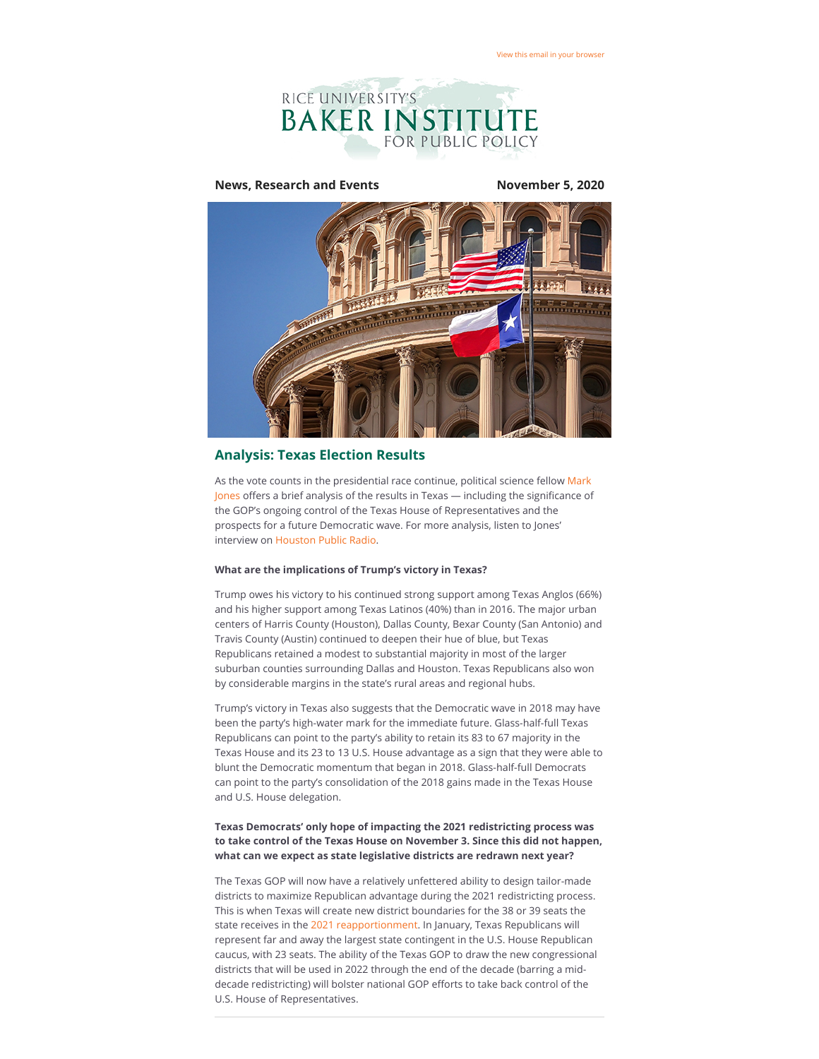

### **News, Research and Events November 5, 2020**



# **Analysis: Texas Election Results**

As the vote counts in the presidential race continue, political science fellow Mark Jones offers a brief analysis of the results in Texas — including the significance of the GOP's ongoing control of the Texas House of Representatives and the prospects for a future Democratic wave. For more analysis, listen to Jones' interview on [Houston Public Radio](https://riceconnect.rice.edu/page.redir?target=https%3a%2f%2fwww.houstonpublicmedia.org%2farticles%2fshows%2fhouston-matters%2f2020%2f11%2f04%2f385317%2fresults-analysis-and-your-thoughts-on-the-election-nov-4-2020%2f&srcid=172939&srctid=1&erid=f5317248-b6e3-4130-91b5-0f37fac7d27d&trid=f5317248-b6e3-4130-91b5-0f37fac7d27d).

#### **What are the implications of Trump's victory in Texas?**

Trump owes his victory to his continued strong support among Texas Anglos (66%) and his higher support among Texas Latinos (40%) than in 2016. The major urban centers of Harris County (Houston), Dallas County, Bexar County (San Antonio) and Travis County (Austin) continued to deepen their hue of blue, but Texas Republicans retained a modest to substantial majority in most of the larger suburban counties surrounding Dallas and Houston. Texas Republicans also won by considerable margins in the state's rural areas and regional hubs.

Trump's victory in Texas also suggests that the Democratic wave in 2018 may have been the party's high-water mark for the immediate future. Glass-half-full Texas Republicans can point to the party's ability to retain its 83 to 67 majority in the Texas House and its 23 to 13 U.S. House advantage as a sign that they were able to blunt the Democratic momentum that began in 2018. Glass-half-full Democrats can point to the party's consolidation of the 2018 gains made in the Texas House and U.S. House delegation.

#### **Texas Democrats' only hope of impacting the 2021 redistricting process was to take control of the Texas House on November 3. Since this did not happen, what can we expect as state legislative districts are redrawn next year?**

The Texas GOP will now have a relatively unfettered ability to design tailor-made districts to maximize Republican advantage during the 2021 redistricting process. This is when Texas will create new district boundaries for the 38 or 39 seats the state receives in the [2021 reapportionment](https://riceconnect.rice.edu/page.redir?target=https%3a%2f%2fwww.ncsl.org%2fresearch%2fredistricting%2fnational-redistricting-seminar-agend-sept-2010.aspx&srcid=172939&srctid=1&erid=f5317248-b6e3-4130-91b5-0f37fac7d27d&trid=f5317248-b6e3-4130-91b5-0f37fac7d27d). In January, Texas Republicans will represent far and away the largest state contingent in the U.S. House Republican caucus, with 23 seats. The ability of the Texas GOP to draw the new congressional districts that will be used in 2022 through the end of the decade (barring a middecade redistricting) will bolster national GOP efforts to take back control of the U.S. House of Representatives.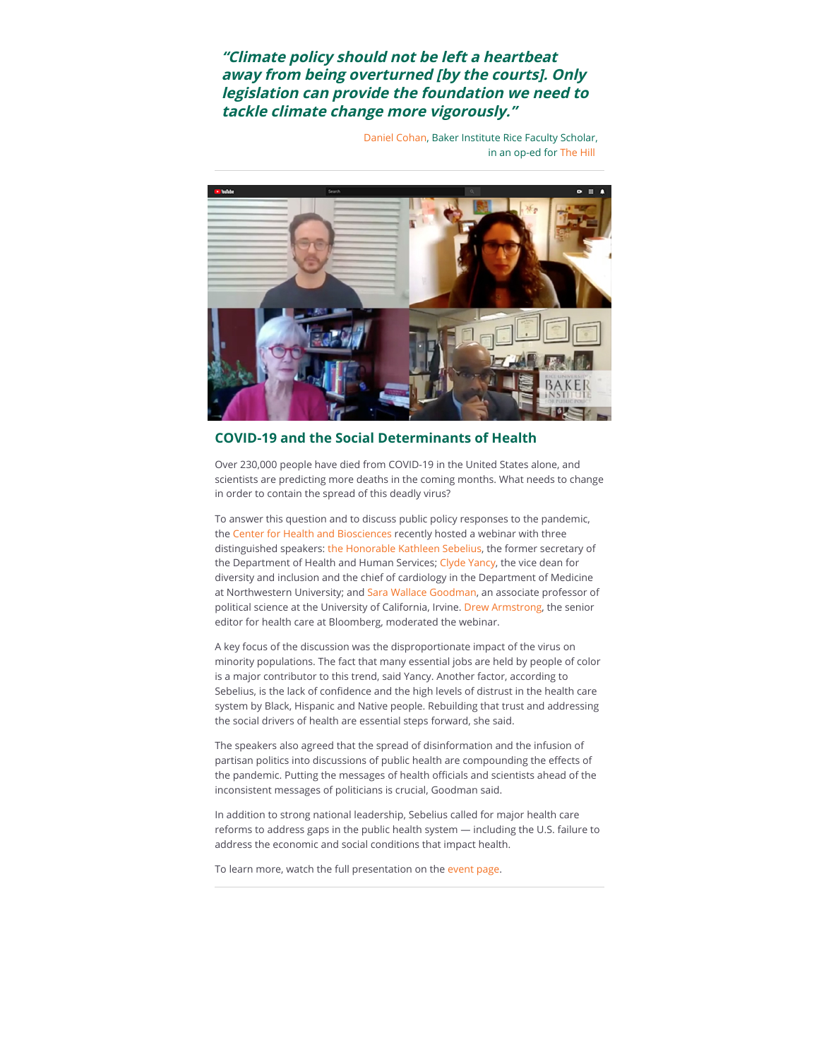**"Climate policy should not be left a heartbeat away from being overturned [by the courts]. Only legislation can provide the foundation we need to tackle climate change more vigorously."**

> [Daniel Cohan](https://riceconnect.rice.edu/page.redir?target=https%3a%2f%2fwww.bakerinstitute.org%2fexperts%2fdaniel-cohan%2f&srcid=172939&srctid=1&erid=f5317248-b6e3-4130-91b5-0f37fac7d27d&trid=f5317248-b6e3-4130-91b5-0f37fac7d27d), Baker Institute Rice Faculty Scholar, in an op-ed for [The Hill](https://riceconnect.rice.edu/page.redir?target=https%3a%2f%2fthehill.com%2fopinion%2fenergy-environment%2f522280-clean-energy-opportunities-in-a-time-of-crisis&srcid=172939&srctid=1&erid=f5317248-b6e3-4130-91b5-0f37fac7d27d&trid=f5317248-b6e3-4130-91b5-0f37fac7d27d)



# **COVID-19 and the Social Determinants of Health**

Over 230,000 people have died from COVID-19 in the United States alone, and scientists are predicting more deaths in the coming months. What needs to change in order to contain the spread of this deadly virus?

To answer this question and to discuss public policy responses to the pandemic, the [Center for Health and Biosciences](https://riceconnect.rice.edu/page.redir?target=https%3a%2f%2fwww.bakerinstitute.org%2fcenter-for-health-and-biosciences%2f&srcid=172939&srctid=1&erid=f5317248-b6e3-4130-91b5-0f37fac7d27d&trid=f5317248-b6e3-4130-91b5-0f37fac7d27d) recently hosted a webinar with three distinguished speakers: [the Honorable Kathleen Sebelius](https://riceconnect.rice.edu/page.redir?target=http%3a%2f%2fwww.sebeliusresources.com%2fwelcome-1&srcid=172939&srctid=1&erid=f5317248-b6e3-4130-91b5-0f37fac7d27d&trid=f5317248-b6e3-4130-91b5-0f37fac7d27d), the former secretary of the Department of Health and Human Services; [Clyde Yancy,](https://riceconnect.rice.edu/page.redir?target=https%3a%2f%2fbit.ly%2f3l2E1a4&srcid=172939&srctid=1&erid=f5317248-b6e3-4130-91b5-0f37fac7d27d&trid=f5317248-b6e3-4130-91b5-0f37fac7d27d) the vice dean for diversity and inclusion and the chief of cardiology in the Department of Medicine at Northwestern University; and [Sara Wallace Goodman](https://riceconnect.rice.edu/page.redir?target=https%3a%2f%2fwww.faculty.uci.edu%2fprofile.cfm%3ffaculty_id%3d5644&srcid=172939&srctid=1&erid=f5317248-b6e3-4130-91b5-0f37fac7d27d&trid=f5317248-b6e3-4130-91b5-0f37fac7d27d), an associate professor of political science at the University of California, Irvine. [Drew Armstrong](https://riceconnect.rice.edu/page.redir?target=https%3a%2f%2fwww.linkedin.com%2fin%2fdrew-armstrong-b651235%2f&srcid=172939&srctid=1&erid=f5317248-b6e3-4130-91b5-0f37fac7d27d&trid=f5317248-b6e3-4130-91b5-0f37fac7d27d), the senior editor for health care at Bloomberg, moderated the webinar.

A key focus of the discussion was the disproportionate impact of the virus on minority populations. The fact that many essential jobs are held by people of color is a major contributor to this trend, said Yancy. Another factor, according to Sebelius, is the lack of confidence and the high levels of distrust in the health care system by Black, Hispanic and Native people. Rebuilding that trust and addressing the social drivers of health are essential steps forward, she said.

The speakers also agreed that the spread of disinformation and the infusion of partisan politics into discussions of public health are compounding the effects of the pandemic. Putting the messages of health officials and scientists ahead of the inconsistent messages of politicians is crucial, Goodman said.

In addition to strong national leadership, Sebelius called for major health care reforms to address gaps in the public health system — including the U.S. failure to address the economic and social conditions that impact health.

To learn more, watch the full presentation on the [event page.](https://riceconnect.rice.edu/page.redir?target=https%3a%2f%2fwww.bakerinstitute.org%2fevents%2f2153%2f&srcid=172939&srctid=1&erid=f5317248-b6e3-4130-91b5-0f37fac7d27d&trid=f5317248-b6e3-4130-91b5-0f37fac7d27d)